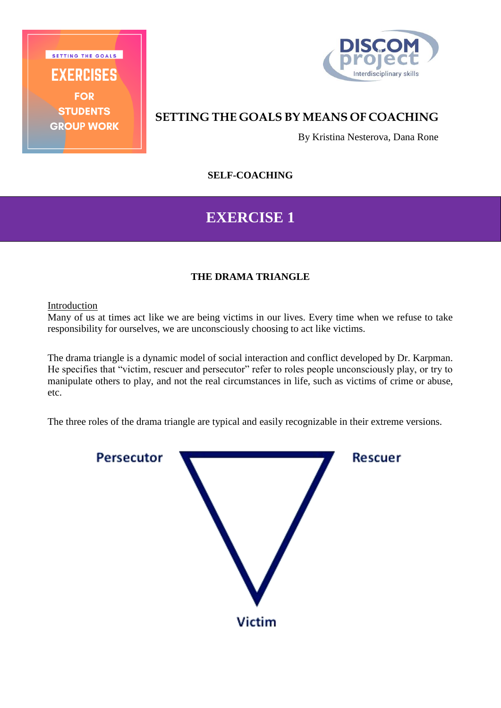EXERCISES **FOR STUDENTS GROUP WORK** 

SETTING THE GOALS



## **SETTING THE GOALS BY MEANS OF COACHING**

By Kristina Nesterova, Dana Rone

**SELF-COACHING**

# **EXERCISE 1**

## **THE DRAMA TRIANGLE**

#### Introduction

Many of us at times act like we are being victims in our lives. Every time when we refuse to take responsibility for ourselves, we are unconsciously choosing to act like victims.

The drama triangle is a dynamic model of social interaction and conflict developed by Dr. Karpman. He specifies that "victim, rescuer and persecutor" refer to roles people unconsciously play, or try to manipulate others to play, and not the real circumstances in life, such as victims of crime or abuse, etc.

The three roles of the drama triangle are typical and easily recognizable in their extreme versions.

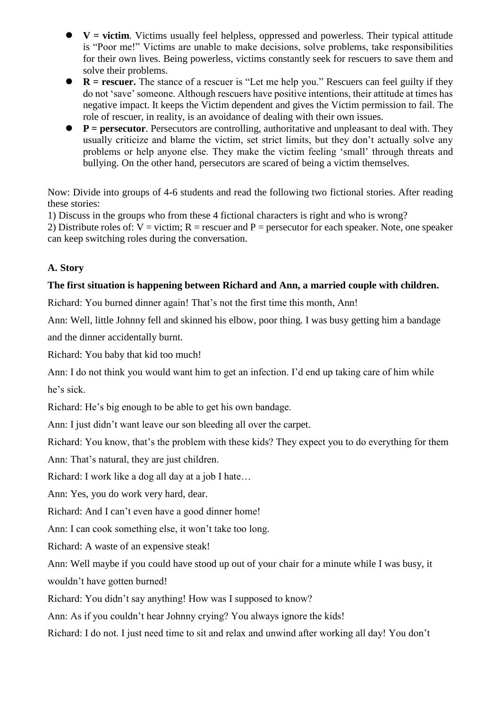- $\bullet$   $V =$  victims victims usually feel helpless, oppressed and powerless. Their typical attitude is "Poor me!" Victims are unable to make decisions, solve problems, take responsibilities for their own lives. Being powerless, victims constantly seek for rescuers to save them and solve their problems.
- **R** = **rescuer.** The stance of a rescuer is "Let me help you." Rescuers can feel guilty if they do not 'save' someone. Although rescuers have positive intentions, their attitude at times has negative impact. It keeps the Victim dependent and gives the Victim permission to fail. The role of rescuer, in reality, is an avoidance of dealing with their own issues.
- **P** = **persecutor**. Persecutors are controlling, authoritative and unpleasant to deal with. They usually criticize and blame the victim, set strict limits, but they don't actually solve any problems or help anyone else. They make the victim feeling 'small' through threats and bullying. On the other hand, persecutors are scared of being a victim themselves.

Now: Divide into groups of 4-6 students and read the following two fictional stories. After reading these stories:

1) Discuss in the groups who from these 4 fictional characters is right and who is wrong?

2) Distribute roles of:  $V =$  victim;  $R =$  rescuer and  $P =$  persecutor for each speaker. Note, one speaker can keep switching roles during the conversation.

### **A. Story**

#### **The first situation is happening between Richard and Ann, a married couple with children.**

Richard: You burned dinner again! That's not the first time this month, Ann!

Ann: Well, little Johnny fell and skinned his elbow, poor thing. I was busy getting him a bandage and the dinner accidentally burnt.

Richard: You baby that kid too much!

Ann: I do not think you would want him to get an infection. I'd end up taking care of him while he's sick.

Richard: He's big enough to be able to get his own bandage.

Ann: I just didn't want leave our son bleeding all over the carpet.

Richard: You know, that's the problem with these kids? They expect you to do everything for them

Ann: That's natural, they are just children.

Richard: I work like a dog all day at a job I hate…

Ann: Yes, you do work very hard, dear.

Richard: And I can't even have a good dinner home!

Ann: I can cook something else, it won't take too long.

Richard: A waste of an expensive steak!

Ann: Well maybe if you could have stood up out of your chair for a minute while I was busy, it wouldn't have gotten burned!

Richard: You didn't say anything! How was I supposed to know?

Ann: As if you couldn't hear Johnny crying? You always ignore the kids!

Richard: I do not. I just need time to sit and relax and unwind after working all day! You don't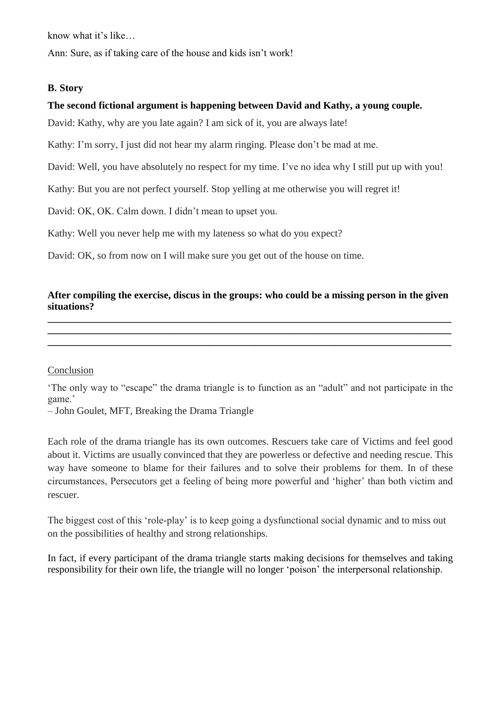know what it's like…

Ann: Sure, as if taking care of the house and kids isn't work!

#### **B. Story**

### **The second fictional argument is happening between David and Kathy, a young couple.**

David: Kathy, why are you late again? I am sick of it, you are always late!

Kathy: I'm sorry, I just did not hear my alarm ringing. Please don't be mad at me.

David: Well, you have absolutely no respect for my time. I've no idea why I still put up with you!

Kathy: But you are not perfect yourself. Stop yelling at me otherwise you will regret it!

David: OK, OK. Calm down. I didn't mean to upset you.

Kathy: Well you never help me with my lateness so what do you expect?

David: OK, so from now on I will make sure you get out of the house on time.

## **After compiling the exercise, discus in the groups: who could be a missing person in the given situations?**

**\_\_\_\_\_\_\_\_\_\_\_\_\_\_\_\_\_\_\_\_\_\_\_\_\_\_\_\_\_\_\_\_\_\_\_\_\_\_\_\_\_\_\_\_\_\_\_\_\_\_\_\_\_\_\_\_\_\_\_\_\_\_\_\_\_\_\_\_\_\_\_\_\_\_\_\_\_\_\_\_ \_\_\_\_\_\_\_\_\_\_\_\_\_\_\_\_\_\_\_\_\_\_\_\_\_\_\_\_\_\_\_\_\_\_\_\_\_\_\_\_\_\_\_\_\_\_\_\_\_\_\_\_\_\_\_\_\_\_\_\_\_\_\_\_\_\_\_\_\_\_\_\_\_\_\_\_\_\_\_\_ \_\_\_\_\_\_\_\_\_\_\_\_\_\_\_\_\_\_\_\_\_\_\_\_\_\_\_\_\_\_\_\_\_\_\_\_\_\_\_\_\_\_\_\_\_\_\_\_\_\_\_\_\_\_\_\_\_\_\_\_\_\_\_\_\_\_\_\_\_\_\_\_\_\_\_\_\_\_\_\_**

#### **Conclusion**

'The only way to "escape" the drama triangle is to function as an "adult" and not participate in the game.'

– John Goulet, MFT, [Breaking the Drama Triangle](http://www.johngouletmft.com/Breaking_The_Drama_Triangle_Newest.pdf)

Each role of the drama triangle has its own outcomes. Rescuers take care of Victims and feel good about it. Victims are usually convinced that they are powerless or defective and needing rescue. This way have someone to blame for their failures and to solve their problems for them. In of these circumstances, Persecutors get a feeling of being more powerful and 'higher' than both victim and rescuer.

The biggest cost of this 'role-play' is to keep going a dysfunctional social dynamic and to miss out on the possibilities of healthy and strong relationships.

In fact, if every participant of the drama triangle starts making decisions for themselves and taking responsibility for their own life, the triangle will no longer 'poison' the interpersonal relationship.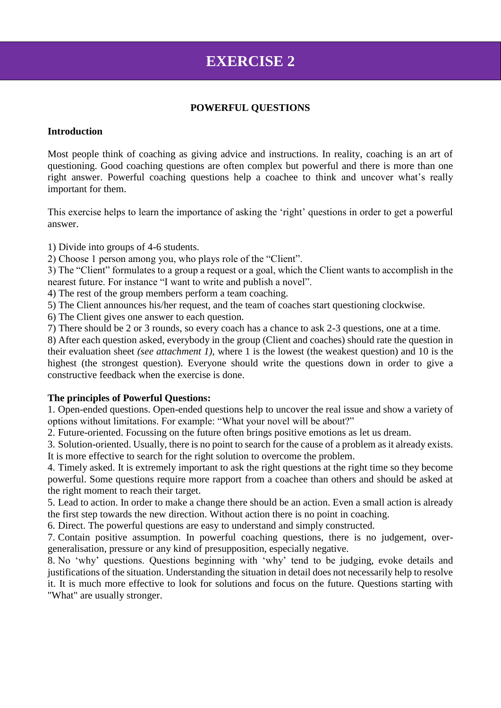# **EXERCISE 2**

#### **POWERFUL QUESTIONS**

#### **Introduction**

Most people think of coaching as giving advice and instructions. In reality, coaching is an art of questioning. Good coaching questions are often complex but powerful and there is more than one right answer. Powerful coaching questions help a coachee to think and uncover what's really important for them.

This exercise helps to learn the importance of asking the 'right' questions in order to get a powerful answer.

1) Divide into groups of 4-6 students.

2) Choose 1 person among you, who plays role of the "Client".

3) The "Client" formulates to a group a request or a goal, which the Client wants to accomplish in the nearest future. For instance "I want to write and publish a novel".

4) The rest of the group members perform a team coaching.

5) The Client announces his/her request, and the team of coaches start questioning clockwise.

6) The Client gives one answer to each question.

7) There should be 2 or 3 rounds, so every coach has a chance to ask 2-3 questions, one at a time.

8) After each question asked, everybody in the group (Client and coaches) should rate the question in their evaluation sheet *(see attachment 1)*, where 1 is the lowest (the weakest question) and 10 is the highest (the strongest question). Everyone should write the questions down in order to give a constructive feedback when the exercise is done.

#### **The principles of Powerful Questions:**

1. Open-ended questions. Open-ended questions help to uncover the real issue and show a variety of options without limitations. For example: "What your novel will be about?"

2. Future-oriented. Focussing on the future often brings positive emotions as let us dream.

3. Solution-oriented. Usually, there is no point to search for the cause of a problem as it already exists. It is more effective to search for the right solution to overcome the problem.

4. Timely asked. It is extremely important to ask the right questions at the right time so they become powerful. Some questions require more rapport from a coachee than others and should be asked at the right moment to reach their target.

5. Lead to action. In order to make a change there should be an action. Even a small action is already the first step towards the new direction. Without action there is no point in coaching.

6. Direct. The powerful questions are easy to understand and simply constructed.

7. Contain positive assumption. In powerful coaching questions, there is no judgement, overgeneralisation, pressure or any kind of presupposition, especially negative.

8. No 'why' questions. Questions beginning with 'why' tend to be judging, evoke details and justifications of the situation. Understanding the situation in detail does not necessarily help to resolve it. It is much more effective to look for solutions and focus on the future. Questions starting with "What" are usually stronger.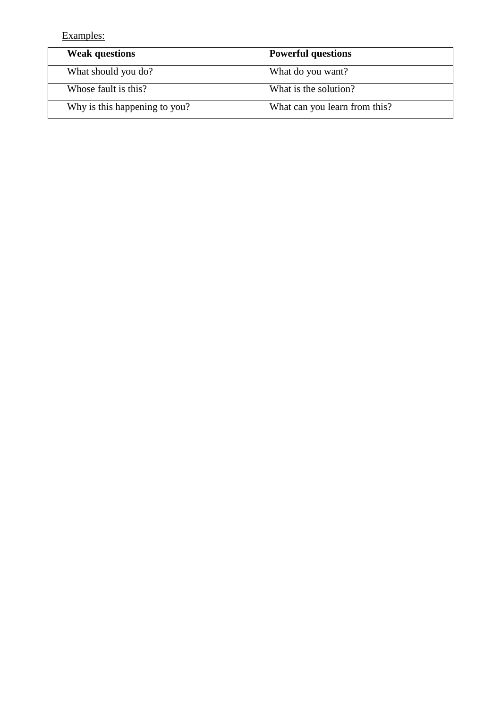Examples:

| <b>Weak questions</b>         | <b>Powerful questions</b>     |
|-------------------------------|-------------------------------|
| What should you do?           | What do you want?             |
| Whose fault is this?          | What is the solution?         |
| Why is this happening to you? | What can you learn from this? |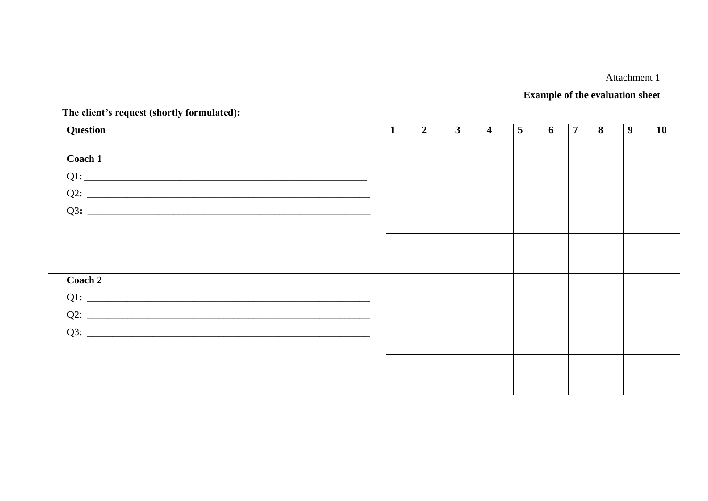## Attachment 1

## **Example of the evaluation sheet**

| Question | $\mathbf{1}$ | $\boldsymbol{2}$ | $\mathbf{3}$ | $\overline{\mathbf{4}}$ | $\overline{5}$ | 6 | $\overline{7}$ | 8 | $\boldsymbol{9}$ | 10 |
|----------|--------------|------------------|--------------|-------------------------|----------------|---|----------------|---|------------------|----|
|          |              |                  |              |                         |                |   |                |   |                  |    |
| Coach 1  |              |                  |              |                         |                |   |                |   |                  |    |
|          |              |                  |              |                         |                |   |                |   |                  |    |
|          |              |                  |              |                         |                |   |                |   |                  |    |
|          |              |                  |              |                         |                |   |                |   |                  |    |
|          |              |                  |              |                         |                |   |                |   |                  |    |
|          |              |                  |              |                         |                |   |                |   |                  |    |
|          |              |                  |              |                         |                |   |                |   |                  |    |
| Coach 2  |              |                  |              |                         |                |   |                |   |                  |    |
|          |              |                  |              |                         |                |   |                |   |                  |    |
|          |              |                  |              |                         |                |   |                |   |                  |    |
|          |              |                  |              |                         |                |   |                |   |                  |    |
|          |              |                  |              |                         |                |   |                |   |                  |    |
|          |              |                  |              |                         |                |   |                |   |                  |    |
|          |              |                  |              |                         |                |   |                |   |                  |    |
|          |              |                  |              |                         |                |   |                |   |                  |    |
|          |              |                  |              |                         |                |   |                |   |                  |    |

The client's request (shortly formulated):